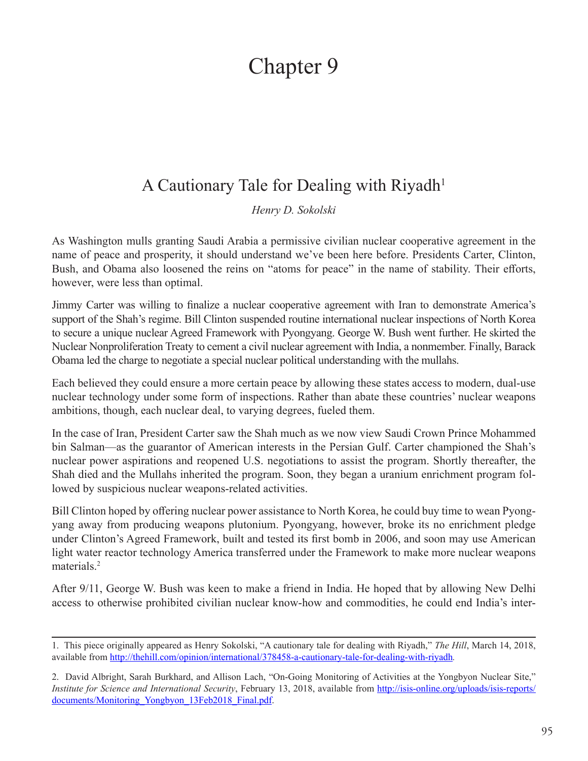## Chapter 9

## A Cautionary Tale for Dealing with Riyadh<sup>1</sup>

*Henry D. Sokolski*

As Washington mulls granting Saudi Arabia a permissive civilian nuclear cooperative agreement in the name of peace and prosperity, it should understand we've been here before. Presidents Carter, Clinton, Bush, and Obama also loosened the reins on "atoms for peace" in the name of stability. Their efforts, however, were less than optimal.

Jimmy Carter was willing to finalize a nuclear cooperative agreement with Iran to demonstrate America's support of the Shah's regime. Bill Clinton suspended routine international nuclear inspections of North Korea to secure a unique nuclear Agreed Framework with Pyongyang. George W. Bush went further. He skirted the Nuclear Nonproliferation Treaty to cement a civil nuclear agreement with India, a nonmember. Finally, Barack Obama led the charge to negotiate a special nuclear political understanding with the mullahs.

Each believed they could ensure a more certain peace by allowing these states access to modern, dual-use nuclear technology under some form of inspections. Rather than abate these countries' nuclear weapons ambitions, though, each nuclear deal, to varying degrees, fueled them.

In the case of Iran, President Carter saw the Shah much as we now view Saudi Crown Prince Mohammed bin Salman—as the guarantor of American interests in the Persian Gulf. Carter championed the Shah's nuclear power aspirations and reopened U.S. negotiations to assist the program. Shortly thereafter, the Shah died and the Mullahs inherited the program. Soon, they began a uranium enrichment program followed by suspicious nuclear weapons-related activities.

Bill Clinton hoped by offering nuclear power assistance to North Korea, he could buy time to wean Pyongyang away from producing weapons plutonium. Pyongyang, however, broke its no enrichment pledge under Clinton's Agreed Framework, built and tested its first bomb in 2006, and soon may use American light water reactor technology America transferred under the Framework to make more nuclear weapons materials.<sup>2</sup>

After 9/11, George W. Bush was keen to make a friend in India. He hoped that by allowing New Delhi access to otherwise prohibited civilian nuclear know-how and commodities, he could end India's inter-

<sup>1.</sup> This piece originally appeared as Henry Sokolski, "A cautionary tale for dealing with Riyadh," *The Hill*, March 14, 2018, available from <http://thehill.com/opinion/international/378458-a-cautionary-tale-for-dealing-with-riyadh>*.*

<sup>2.</sup> David Albright, Sarah Burkhard, and Allison Lach, "On-Going Monitoring of Activities at the Yongbyon Nuclear Site," *Institute for Science and International Security*, February 13, 2018, available from [http://isis-online.org/uploads/isis-reports/](http://isis-online.org/uploads/isis-reports/documents/Monitoring_Yongbyon_13Feb2018_Final.pdf) documents/Monitoring Yongbyon 13Feb2018 Final.pdf.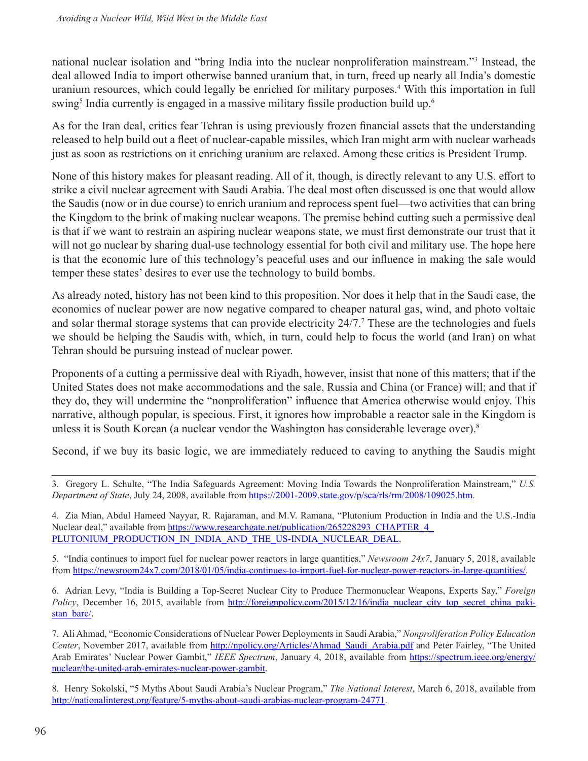national nuclear isolation and "bring India into the nuclear nonproliferation mainstream."<sup>3</sup> Instead, the deal allowed India to import otherwise banned uranium that, in turn, freed up nearly all India's domestic uranium resources, which could legally be enriched for military purposes.<sup>4</sup> With this importation in full swing<sup>5</sup> India currently is engaged in a massive military fissile production build up.<sup>6</sup>

As for the Iran deal, critics fear Tehran is using previously frozen financial assets that the understanding released to help build out a fleet of nuclear-capable missiles, which Iran might arm with nuclear warheads just as soon as restrictions on it enriching uranium are relaxed. Among these critics is President Trump.

None of this history makes for pleasant reading. All of it, though, is directly relevant to any U.S. effort to strike a civil nuclear agreement with Saudi Arabia. The deal most often discussed is one that would allow the Saudis (now or in due course) to enrich uranium and reprocess spent fuel—two activities that can bring the Kingdom to the brink of making nuclear weapons. The premise behind cutting such a permissive deal is that if we want to restrain an aspiring nuclear weapons state, we must first demonstrate our trust that it will not go nuclear by sharing dual-use technology essential for both civil and military use. The hope here is that the economic lure of this technology's peaceful uses and our influence in making the sale would temper these states' desires to ever use the technology to build bombs.

As already noted, history has not been kind to this proposition. Nor does it help that in the Saudi case, the economics of nuclear power are now negative compared to cheaper natural gas, wind, and photo voltaic and solar thermal storage systems that can provide electricity 24/7.<sup>7</sup> These are the technologies and fuels we should be helping the Saudis with, which, in turn, could help to focus the world (and Iran) on what Tehran should be pursuing instead of nuclear power.

Proponents of a cutting a permissive deal with Riyadh, however, insist that none of this matters; that if the United States does not make accommodations and the sale, Russia and China (or France) will; and that if they do, they will undermine the "nonproliferation" influence that America otherwise would enjoy. This narrative, although popular, is specious. First, it ignores how improbable a reactor sale in the Kingdom is unless it is South Korean (a nuclear vendor the Washington has considerable leverage over).<sup>8</sup>

Second, if we buy its basic logic, we are immediately reduced to caving to anything the Saudis might

3. Gregory L. Schulte, "The India Safeguards Agreement: Moving India Towards the Nonproliferation Mainstream," *U.S. Department of State*, July 24, 2008, available from<https://2001-2009.state.gov/p/sca/rls/rm/2008/109025.htm>.

4. Zia Mian, Abdul Hameed Nayyar, R. Rajaraman, and M.V. Ramana, "Plutonium Production in India and the U.S.-India Nuclear deal," available from [https://www.researchgate.net/publication/265228293\\_CHAPTER\\_4\\_](https://www.researchgate.net/publication/265228293_CHAPTER_4_
PLUTONIUM_PRODUCTION_IN_INDIA_AND_THE_US-INDIA_NUCLEAR_DEAL) [PLUTONIUM\\_PRODUCTION\\_IN\\_INDIA\\_AND\\_THE\\_US-INDIA\\_NUCLEAR\\_DEAL](https://www.researchgate.net/publication/265228293_CHAPTER_4_
PLUTONIUM_PRODUCTION_IN_INDIA_AND_THE_US-INDIA_NUCLEAR_DEAL).

5. "India continues to import fuel for nuclear power reactors in large quantities," *Newsroom 24x7*, January 5, 2018, available from [https://newsroom24x7.com/2018/01/05/india-continues-to-import-fuel-for-nuclear-power-reactors-in-large-quantities/.](https://newsroom24x7.com/2018/01/05/india-continues-to-import-fuel-for-nuclear-power-reactors-in-large-quantities/)

6. Adrian Levy, "India is Building a Top-Secret Nuclear City to Produce Thermonuclear Weapons, Experts Say," *Foreign Policy*, December 16, 2015, available from [http://foreignpolicy.com/2015/12/16/india\\_nuclear\\_city\\_top\\_secret\\_china\\_paki](http://foreignpolicy.com/2015/12/16/india_nuclear_city_top_secret_china_pakistan_barc/)[stan\\_barc/](http://foreignpolicy.com/2015/12/16/india_nuclear_city_top_secret_china_pakistan_barc/).

7. Ali Ahmad, "Economic Considerations of Nuclear Power Deployments in Saudi Arabia," *Nonproliferation Policy Education Center*, November 2017, available from [http://npolicy.org/Articles/Ahmad\\_Saudi\\_Arabia.pdf](http://npolicy.org/Articles/Ahmad_Saudi_Arabia.pdf) and Peter Fairley, "The United Arab Emirates' Nuclear Power Gambit," *IEEE Spectrum*, January 4, 2018, available from [https://spectrum.ieee.org/energy/](https://spectrum.ieee.org/energy/nuclear/the-united-arab-emirates-nuclear-power-gambit) [nuclear/the-united-arab-emirates-nuclear-power-gambit](https://spectrum.ieee.org/energy/nuclear/the-united-arab-emirates-nuclear-power-gambit).

8. Henry Sokolski, "5 Myths About Saudi Arabia's Nuclear Program," *The National Interest*, March 6, 2018, available from <http://nationalinterest.org/feature/5-myths-about-saudi-arabias-nuclear-program-24771>.